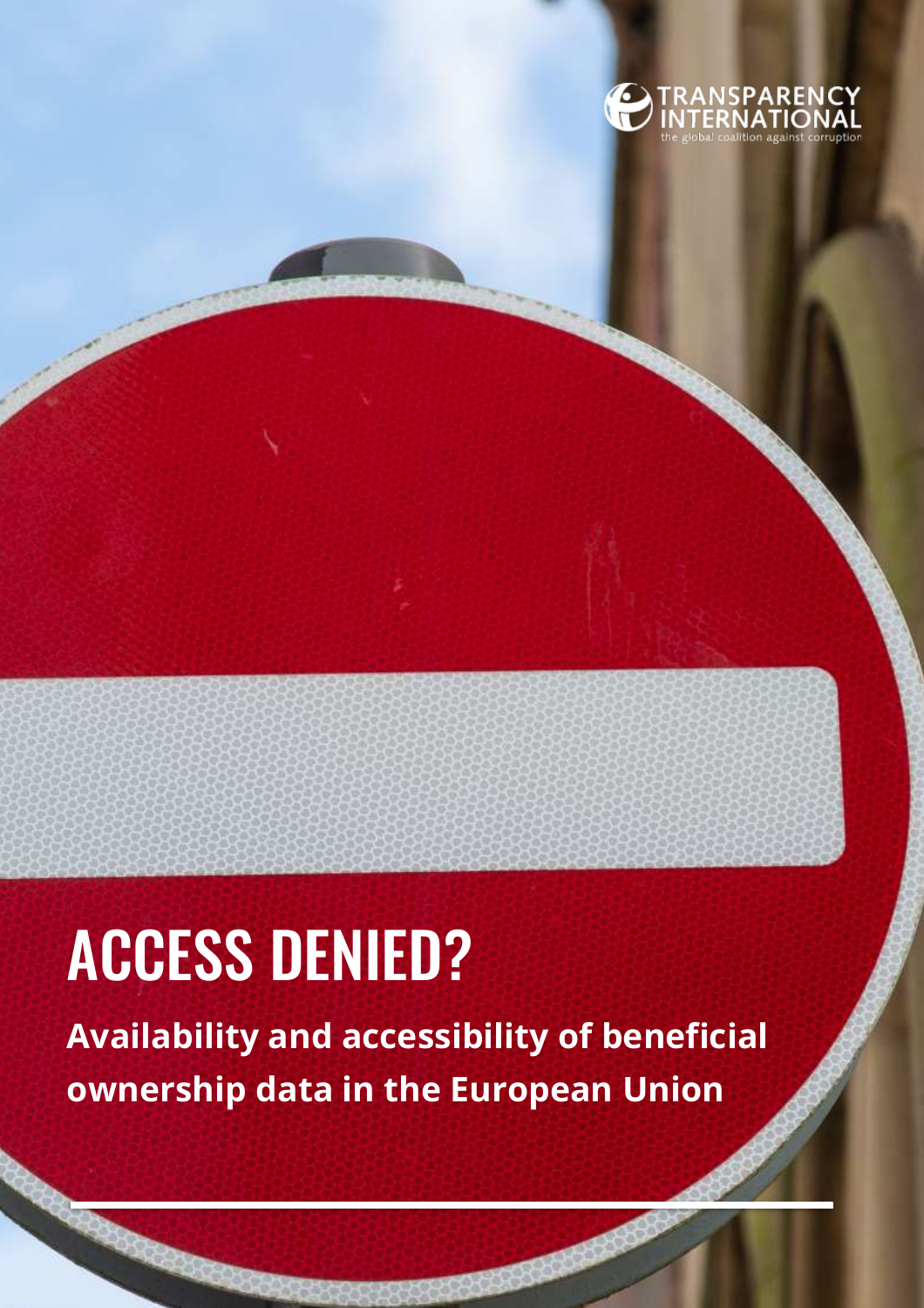

# ACCESS DENIED?

**Availability and accessibility of beneficial ownership data in the European Union**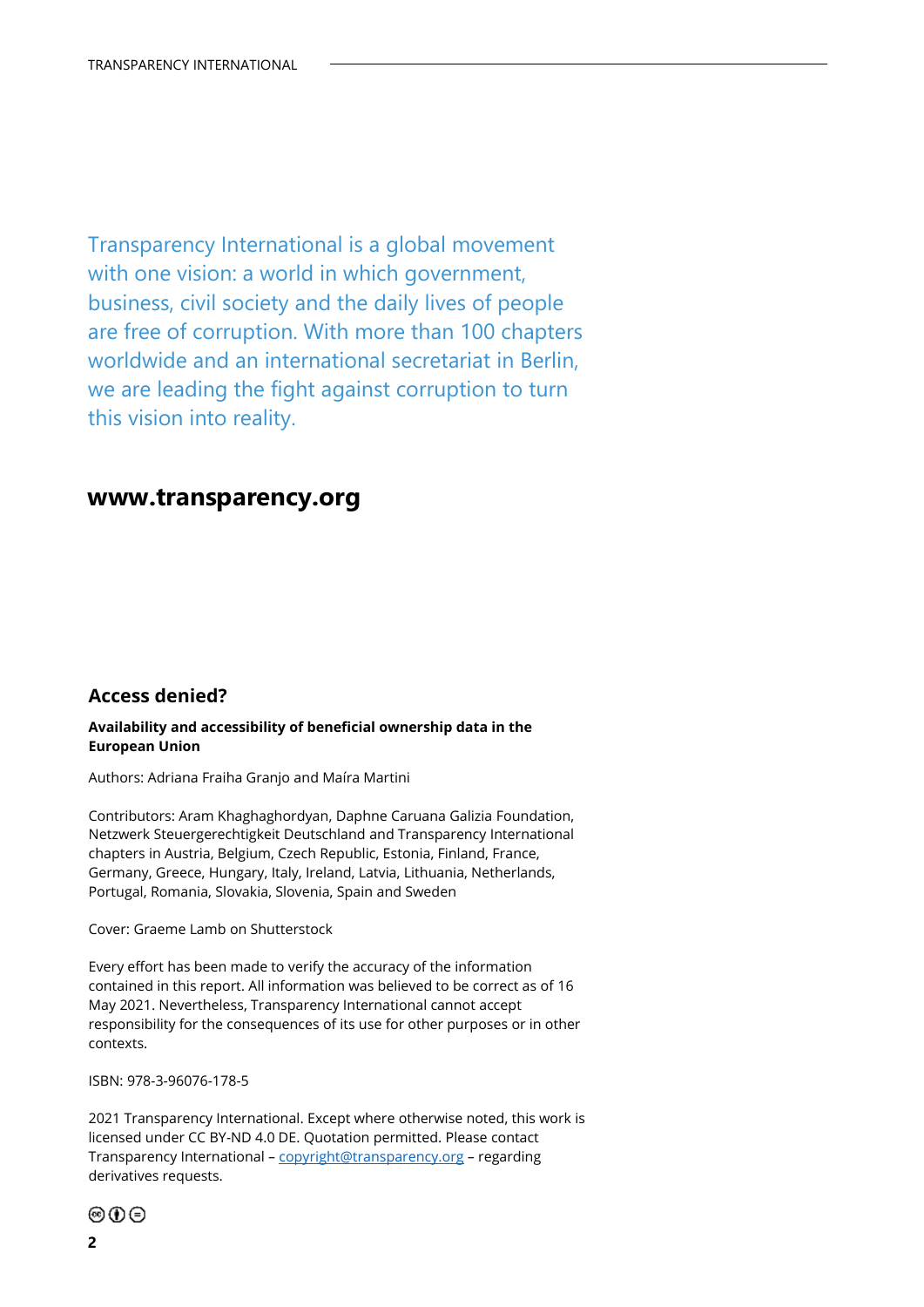Transparency International is a global movement with one vision: a world in which government, business, civil society and the daily lives of people are free of corruption. With more than 100 chapters worldwide and an international secretariat in Berlin, we are leading the fight against corruption to turn this vision into reality.

### **www.transparency.org**

### **Access denied?**

#### **Availability and accessibility of beneficial ownership data in the European Union**

Authors: Adriana Fraiha Granjo and Maíra Martini

Contributors: Aram Khaghaghordyan, Daphne Caruana Galizia Foundation, Netzwerk Steuergerechtigkeit Deutschland and Transparency International chapters in Austria, Belgium, Czech Republic, Estonia, Finland, France, Germany, Greece, Hungary, Italy, Ireland, Latvia, Lithuania, Netherlands, Portugal, Romania, Slovakia, Slovenia, Spain and Sweden

Cover: Graeme Lamb on Shutterstock

Every effort has been made to verify the accuracy of the information contained in this report. All information was believed to be correct as of 16 May 2021. Nevertheless, Transparency International cannot accept responsibility for the consequences of its use for other purposes or in other contexts.

ISBN: 978-3-96076-178-5

2021 Transparency International. Except where otherwise noted, this work is licensed under CC BY-ND 4.0 DE. Quotation permitted. Please contact Transparency International – [copyright@transparency.org](mailto:copyright@transparency.org) – regarding derivatives requests.

⊚⊙⊝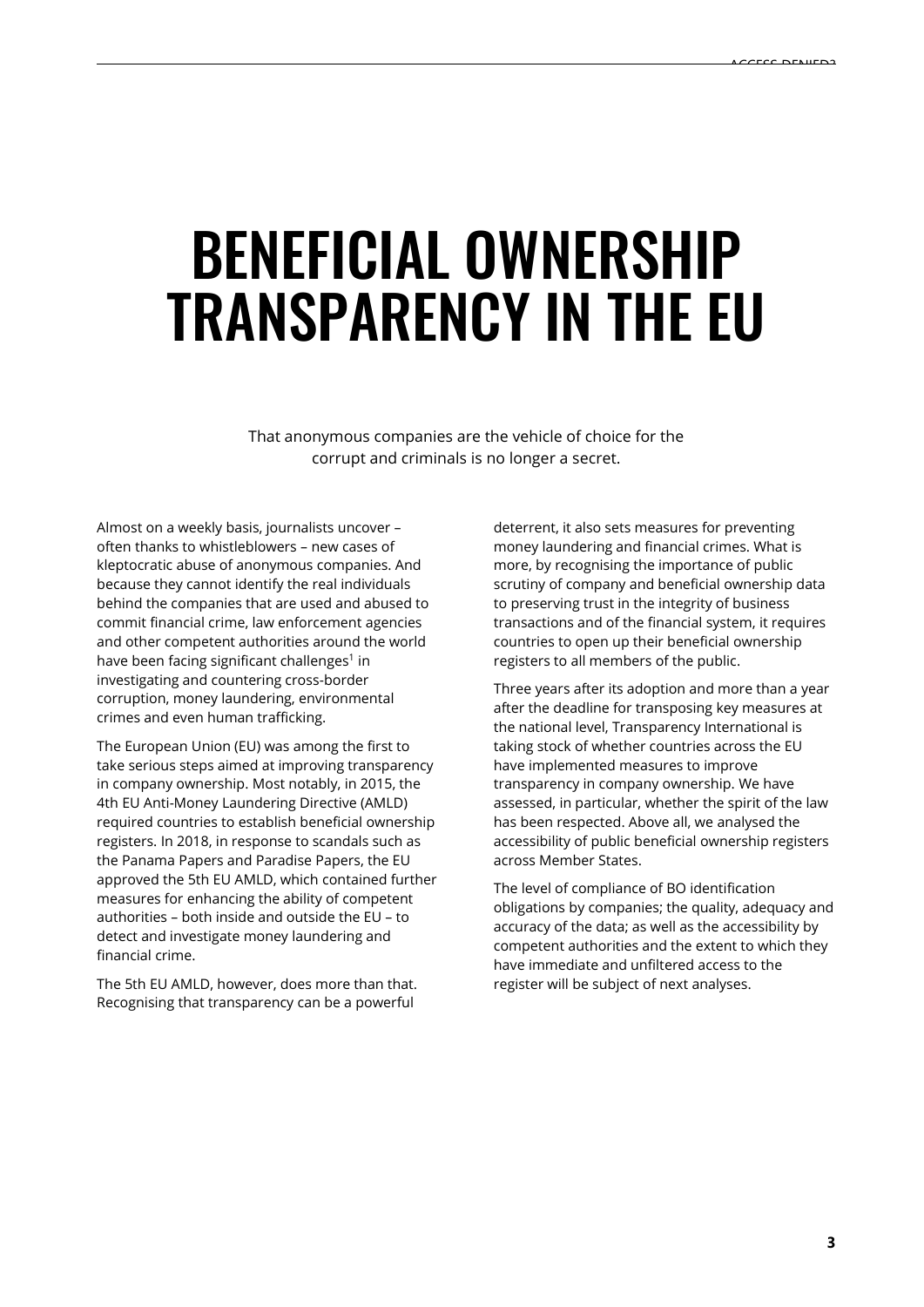## BENEFICIAL OWNERSHIP TRANSPARENCY IN THE EU

That anonymous companies are the vehicle of choice for the corrupt and criminals is no longer a secret.

Almost on a weekly basis, journalists uncover – often thanks to whistleblowers – new cases of kleptocratic abuse of anonymous companies. And because they cannot identify the real individuals behind the companies that are used and abused to commit financial crime, law enforcement agencies and other competent authorities around the world have been facing significant challenges<sup>1</sup> in investigating and countering cross-border corruption, money laundering, environmental crimes and even human trafficking.

The European Union (EU) was among the first to take serious steps aimed at improving transparency in company ownership. Most notably, in 2015, the 4th EU Anti-Money Laundering Directive (AMLD) required countries to establish beneficial ownership registers. In 2018, in response to scandals such as the Panama Papers and Paradise Papers, the EU approved the 5th EU AMLD, which contained further measures for enhancing the ability of competent authorities – both inside and outside the EU – to detect and investigate money laundering and financial crime.

The 5th EU AMLD, however, does more than that. Recognising that transparency can be a powerful

deterrent, it also sets measures for preventing money laundering and financial crimes. What is more, by recognising the importance of public scrutiny of company and beneficial ownership data to preserving trust in the integrity of business transactions and of the financial system, it requires countries to open up their beneficial ownership registers to all members of the public.

Three years after its adoption and more than a year after the deadline for transposing key measures at the national level, Transparency International is taking stock of whether countries across the EU have implemented measures to improve transparency in company ownership. We have assessed, in particular, whether the spirit of the law has been respected. Above all, we analysed the accessibility of public beneficial ownership registers across Member States.

The level of compliance of BO identification obligations by companies; the quality, adequacy and accuracy of the data; as well as the accessibility by competent authorities and the extent to which they have immediate and unfiltered access to the register will be subject of next analyses.

**3**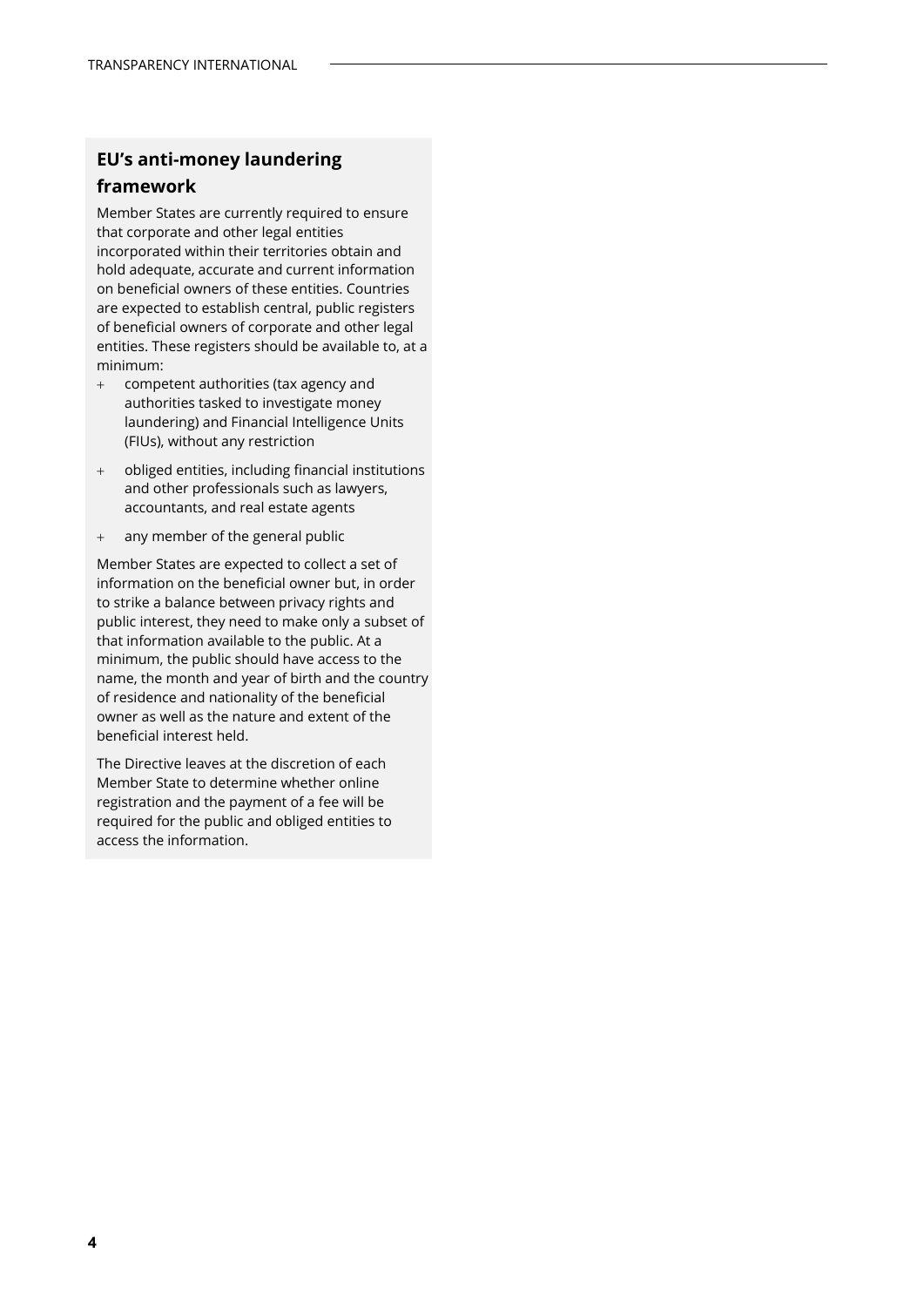### **EU's anti-money laundering**

### **framework**

Member States are currently required to ensure that corporate and other legal entities incorporated within their territories obtain and hold adequate, accurate and current information on beneficial owners of these entities. Countries are expected to establish central, public registers of beneficial owners of corporate and other legal entities. These registers should be available to, at a minimum:

- + competent authorities (tax agency and authorities tasked to investigate money laundering) and Financial Intelligence Units (FIUs), without any restriction
- + obliged entities, including financial institutions and other professionals such as lawyers, accountants, and real estate agents
- + any member of the general public

Member States are expected to collect a set of information on the beneficial owner but, in order to strike a balance between privacy rights and public interest, they need to make only a subset of that information available to the public. At a minimum, the public should have access to the name, the month and year of birth and the country of residence and nationality of the beneficial owner as well as the nature and extent of the beneficial interest held.

The Directive leaves at the discretion of each Member State to determine whether online registration and the payment of a fee will be required for the public and obliged entities to access the information.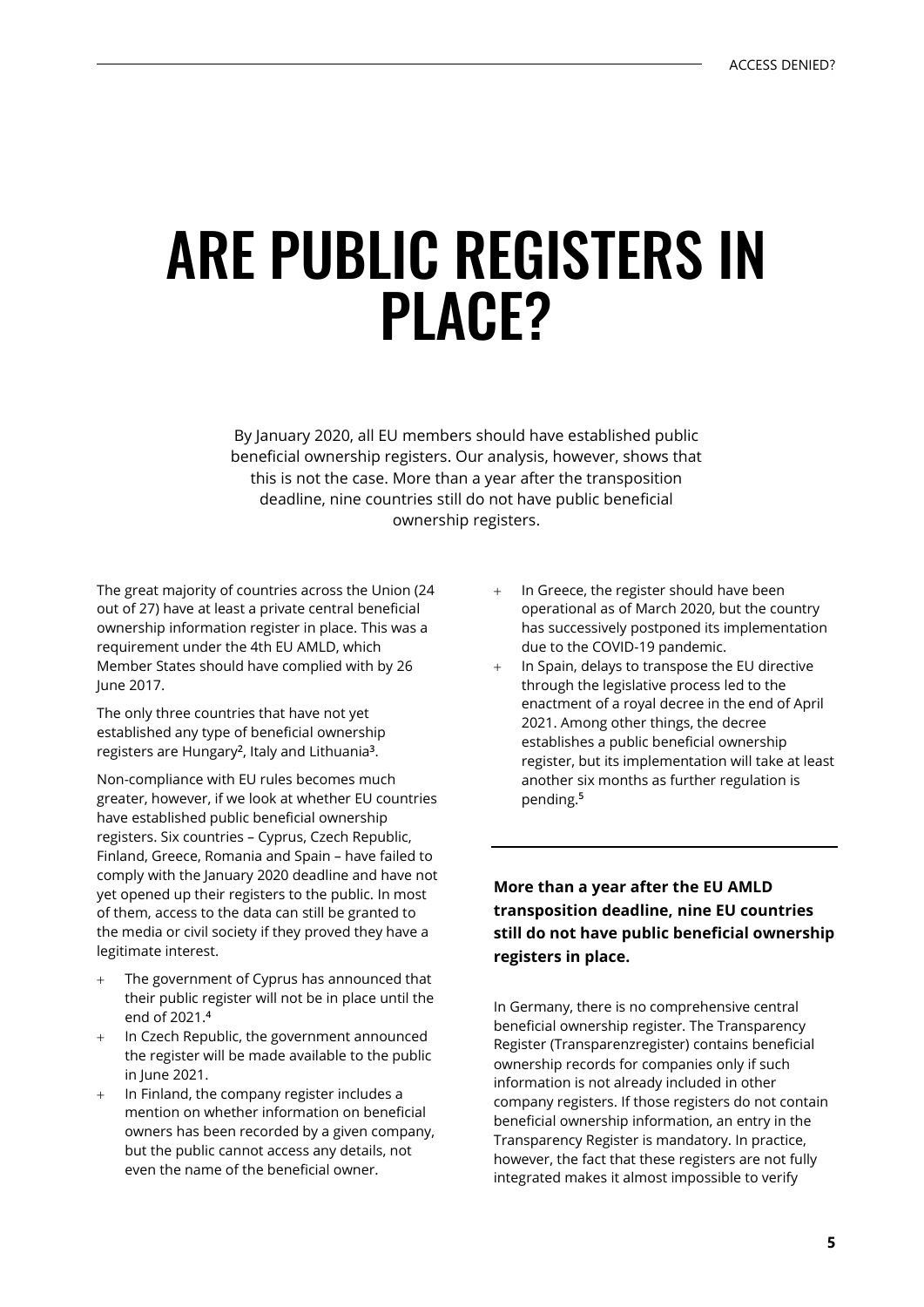## ARE PUBLIC REGISTERS IN PLACE?

By January 2020, all EU members should have established public beneficial ownership registers. Our analysis, however, shows that this is not the case. More than a year after the transposition deadline, nine countries still do not have public beneficial ownership registers.

The great majority of countries across the Union (24 out of 27) have at least a private central beneficial ownership information register in place. This was a requirement under the 4th EU AMLD, which Member States should have complied with by 26 June 2017.

The only three countries that have not yet established any type of beneficial ownership registers are Hungary**<sup>2</sup>**, Italy and Lithuania**<sup>3</sup>**.

Non-compliance with EU rules becomes much greater, however, if we look at whether EU countries have established public beneficial ownership registers. Six countries – Cyprus, Czech Republic, Finland, Greece, Romania and Spain – have failed to comply with the January 2020 deadline and have not yet opened up their registers to the public. In most of them, access to the data can still be granted to the media or civil society if they proved they have a legitimate interest.

- The government of Cyprus has announced that their public register will not be in place until the end of 2021.**<sup>4</sup>**
- In Czech Republic, the government announced the register will be made available to the public in June 2021.
- In Finland, the company register includes a mention on whether information on beneficial owners has been recorded by a given company, but the public cannot access any details, not even the name of the beneficial owner.
- In Greece, the register should have been operational as of March 2020, but the country has successively postponed its implementation due to the COVID-19 pandemic.
- In Spain, delays to transpose the EU directive through the legislative process led to the enactment of a royal decree in the end of April 2021. Among other things, the decree establishes a public beneficial ownership register, but its implementation will take at least another six months as further regulation is pending.**<sup>5</sup>**

### **More than a year after the EU AMLD transposition deadline, nine EU countries still do not have public beneficial ownership registers in place.**

In Germany, there is no comprehensive central beneficial ownership register. The Transparency Register (Transparenzregister) contains beneficial ownership records for companies only if such information is not already included in other company registers. If those registers do not contain beneficial ownership information, an entry in the Transparency Register is mandatory. In practice, however, the fact that these registers are not fully integrated makes it almost impossible to verify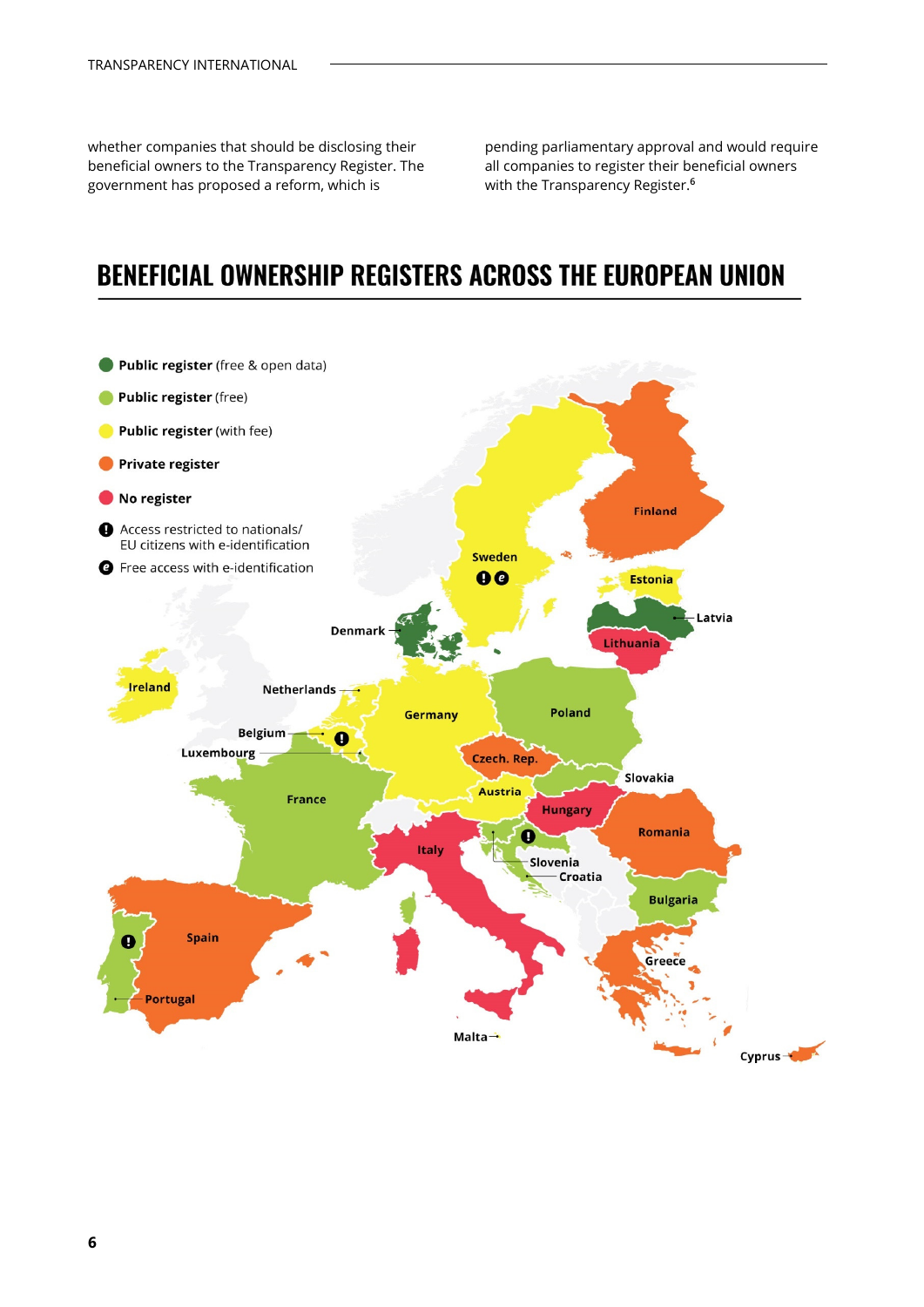whether companies that should be disclosing their beneficial owners to the Transparency Register. The government has proposed a reform, which is

pending parliamentary approval and would require all companies to register their beneficial owners with the Transparency Register.**6**

## **BENEFICIAL OWNERSHIP REGISTERS ACROSS THE EUROPEAN UNION**

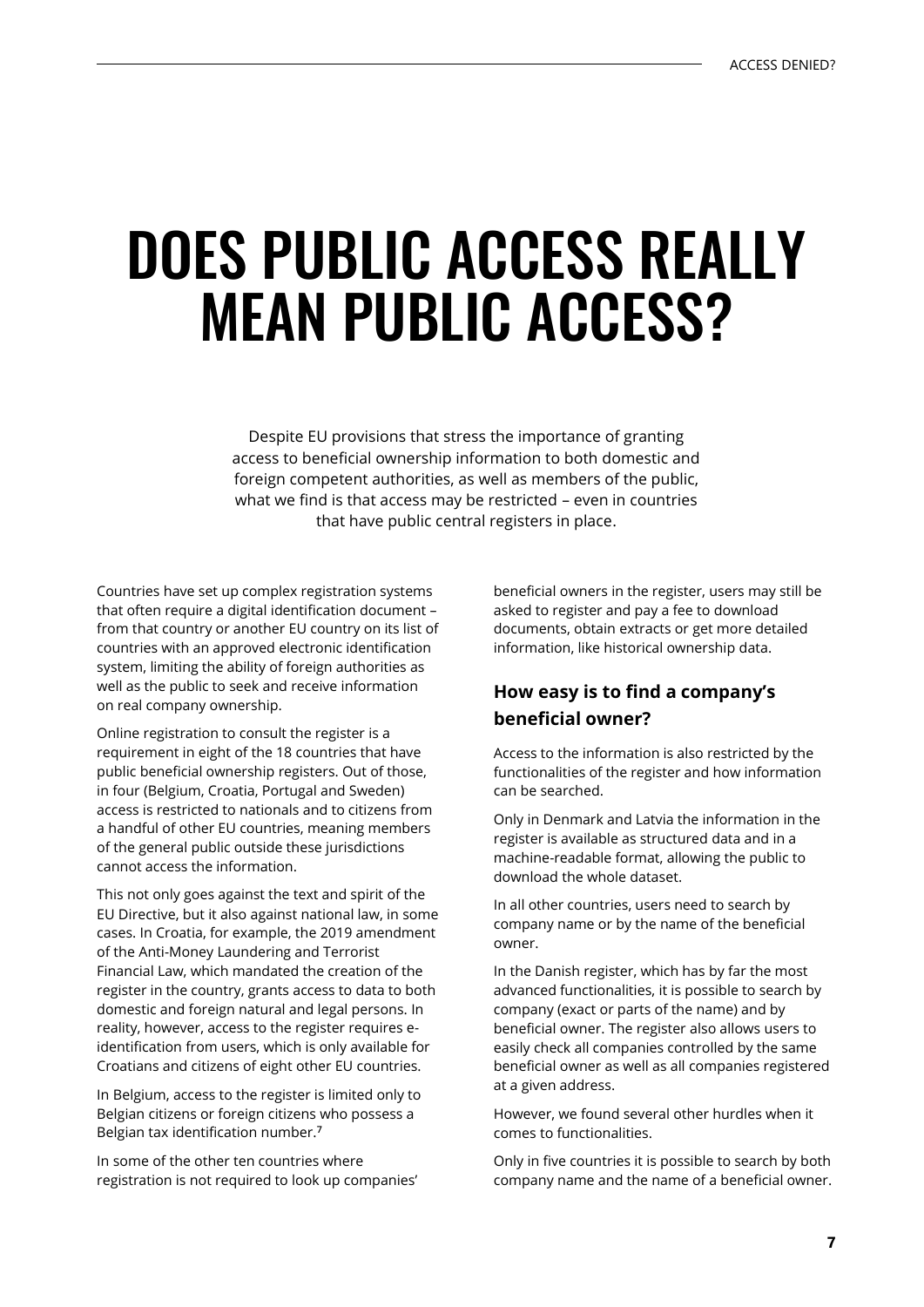## DOES PUBLIC ACCESS REALLY MEAN PUBLIC ACCESS?

Despite EU provisions that stress the importance of granting access to beneficial ownership information to both domestic and foreign competent authorities, as well as members of the public, what we find is that access may be restricted – even in countries that have public central registers in place.

Countries have set up complex registration systems that often require a digital identification document – from that country or another EU country on its list of countries with an approved electronic identification system, limiting the ability of foreign authorities as well as the public to seek and receive information on real company ownership.

Online registration to consult the register is a requirement in eight of the 18 countries that have public beneficial ownership registers. Out of those, in four (Belgium, Croatia, Portugal and Sweden) access is restricted to nationals and to citizens from a handful of other EU countries, meaning members of the general public outside these jurisdictions cannot access the information.

This not only goes against the text and spirit of the EU Directive, but it also against national law, in some cases. In Croatia, for example, the 2019 amendment of the Anti-Money Laundering and Terrorist Financial Law, which mandated the creation of the register in the country, grants access to data to both domestic and foreign natural and legal persons. In reality, however, access to the register requires eidentification from users, which is only available for Croatians and citizens of eight other EU countries.

In Belgium, access to the register is limited only to Belgian citizens or foreign citizens who possess a Belgian tax identification number.**<sup>7</sup>**

In some of the other ten countries where registration is not required to look up companies' beneficial owners in the register, users may still be asked to register and pay a fee to download documents, obtain extracts or get more detailed information, like historical ownership data.

### **How easy is to find a company's beneficial owner?**

Access to the information is also restricted by the functionalities of the register and how information can be searched.

Only in Denmark and Latvia the information in the register is available as structured data and in a machine-readable format, allowing the public to download the whole dataset.

In all other countries, users need to search by company name or by the name of the beneficial owner.

In the Danish register, which has by far the most advanced functionalities, it is possible to search by company (exact or parts of the name) and by beneficial owner. The register also allows users to easily check all companies controlled by the same beneficial owner as well as all companies registered at a given address.

However, we found several other hurdles when it comes to functionalities.

Only in five countries it is possible to search by both company name and the name of a beneficial owner.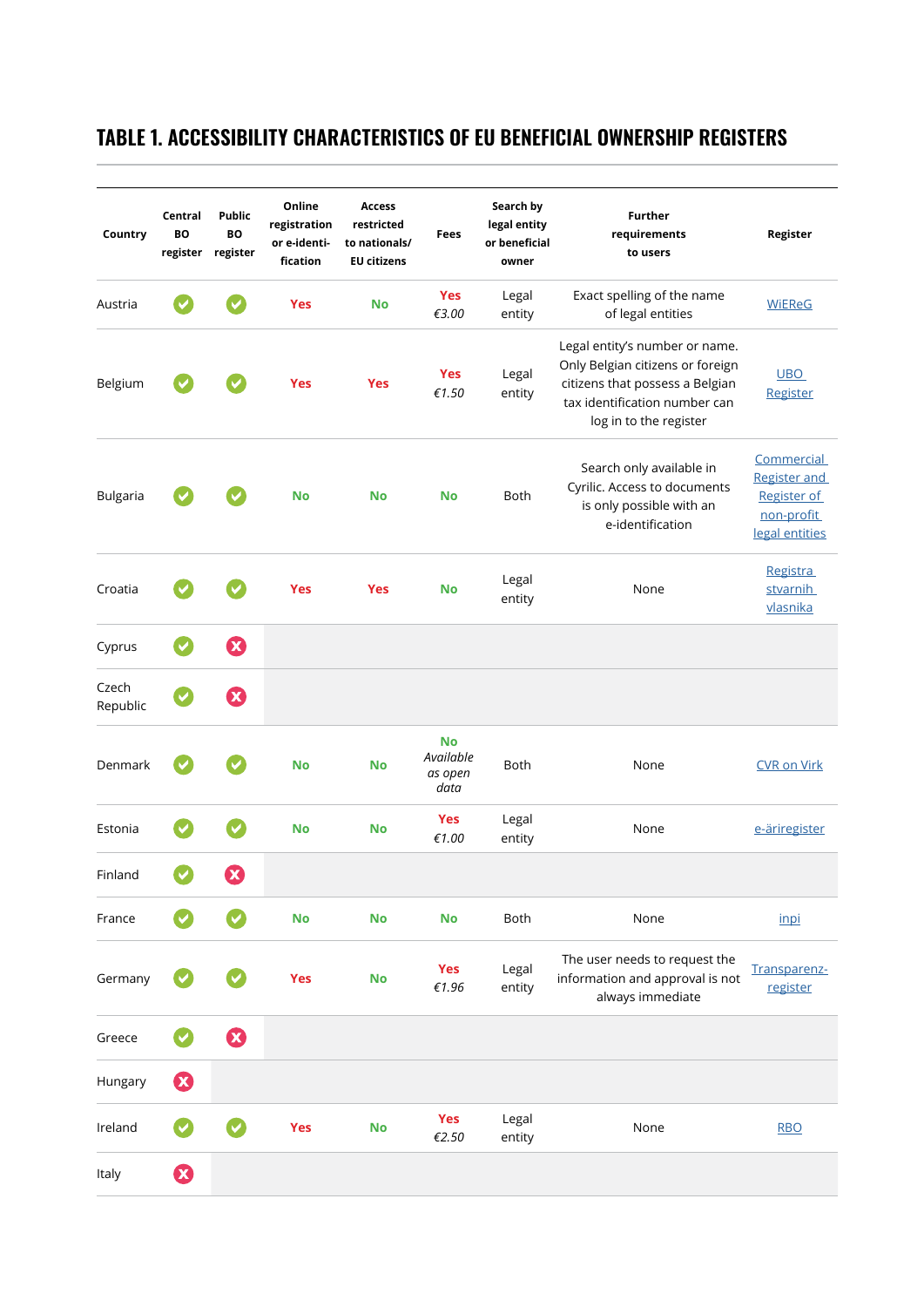### **TABLE 1. ACCESSIBILITY CHARACTERISTICS OF EU BENEFICIAL OWNERSHIP REGISTERS**

| Country           | Central<br>BO         | <b>Public</b><br><b>BO</b><br>register register | Online<br>registration<br>or e-identi-<br>fication | <b>Access</b><br>restricted<br>to nationals/<br><b>EU citizens</b> | Fees                                      | Search by<br>legal entity<br>or beneficial<br>owner | <b>Further</b><br>requirements<br>to users                                                                                                                       | Register                                                                         |
|-------------------|-----------------------|-------------------------------------------------|----------------------------------------------------|--------------------------------------------------------------------|-------------------------------------------|-----------------------------------------------------|------------------------------------------------------------------------------------------------------------------------------------------------------------------|----------------------------------------------------------------------------------|
| Austria           |                       |                                                 | <b>Yes</b>                                         | <b>No</b>                                                          | <b>Yes</b><br>€3.00                       | Legal<br>entity                                     | Exact spelling of the name<br>of legal entities                                                                                                                  | <b>WiEReG</b>                                                                    |
| Belgium           |                       |                                                 | <b>Yes</b>                                         | <b>Yes</b>                                                         | <b>Yes</b><br>€1.50                       | Legal<br>entity                                     | Legal entity's number or name.<br>Only Belgian citizens or foreign<br>citizens that possess a Belgian<br>tax identification number can<br>log in to the register | <b>UBO</b><br>Register                                                           |
| <b>Bulgaria</b>   |                       |                                                 | <b>No</b>                                          | <b>No</b>                                                          | <b>No</b>                                 | <b>Both</b>                                         | Search only available in<br>Cyrilic. Access to documents<br>is only possible with an<br>e-identification                                                         | Commercial<br><b>Register and</b><br>Register of<br>non-profit<br>legal entities |
| Croatia           |                       |                                                 | <b>Yes</b>                                         | <b>Yes</b>                                                         | No                                        | Legal<br>entity                                     | None                                                                                                                                                             | <b>Registra</b><br>stvarnih<br>vlasnika                                          |
| Cyprus            | $\checkmark$          | $\boldsymbol{\Omega}$                           |                                                    |                                                                    |                                           |                                                     |                                                                                                                                                                  |                                                                                  |
| Czech<br>Republic |                       | $\boldsymbol{\Omega}$                           |                                                    |                                                                    |                                           |                                                     |                                                                                                                                                                  |                                                                                  |
| Denmark           |                       |                                                 | <b>No</b>                                          | <b>No</b>                                                          | <b>No</b><br>Available<br>as open<br>data | <b>Both</b>                                         | None                                                                                                                                                             | <b>CVR on Virk</b>                                                               |
| Estonia           |                       |                                                 | <b>No</b>                                          | <b>No</b>                                                          | <b>Yes</b><br>€1.00                       | Legal<br>entity                                     | None                                                                                                                                                             | e-äriregister                                                                    |
| Finland           |                       |                                                 |                                                    |                                                                    |                                           |                                                     |                                                                                                                                                                  |                                                                                  |
| France            |                       |                                                 | <b>No</b>                                          | <b>No</b>                                                          | <b>No</b>                                 | Both                                                | None                                                                                                                                                             | inpi                                                                             |
| Germany           |                       |                                                 | <b>Yes</b>                                         | <b>No</b>                                                          | <b>Yes</b><br>€1.96                       | Legal<br>entity                                     | The user needs to request the<br>information and approval is not<br>always immediate                                                                             | Transparenz-<br>register                                                         |
| Greece            | $\blacktriangledown$  | $\boldsymbol{\Omega}$                           |                                                    |                                                                    |                                           |                                                     |                                                                                                                                                                  |                                                                                  |
| Hungary           | $\boldsymbol{\Omega}$ |                                                 |                                                    |                                                                    |                                           |                                                     |                                                                                                                                                                  |                                                                                  |
| Ireland           |                       | $\boldsymbol{\mathcal{G}}$                      | <b>Yes</b>                                         | <b>No</b>                                                          | <b>Yes</b><br>€2.50                       | Legal<br>entity                                     | None                                                                                                                                                             | <b>RBO</b>                                                                       |
| Italy             | $\boldsymbol{\Omega}$ |                                                 |                                                    |                                                                    |                                           |                                                     |                                                                                                                                                                  |                                                                                  |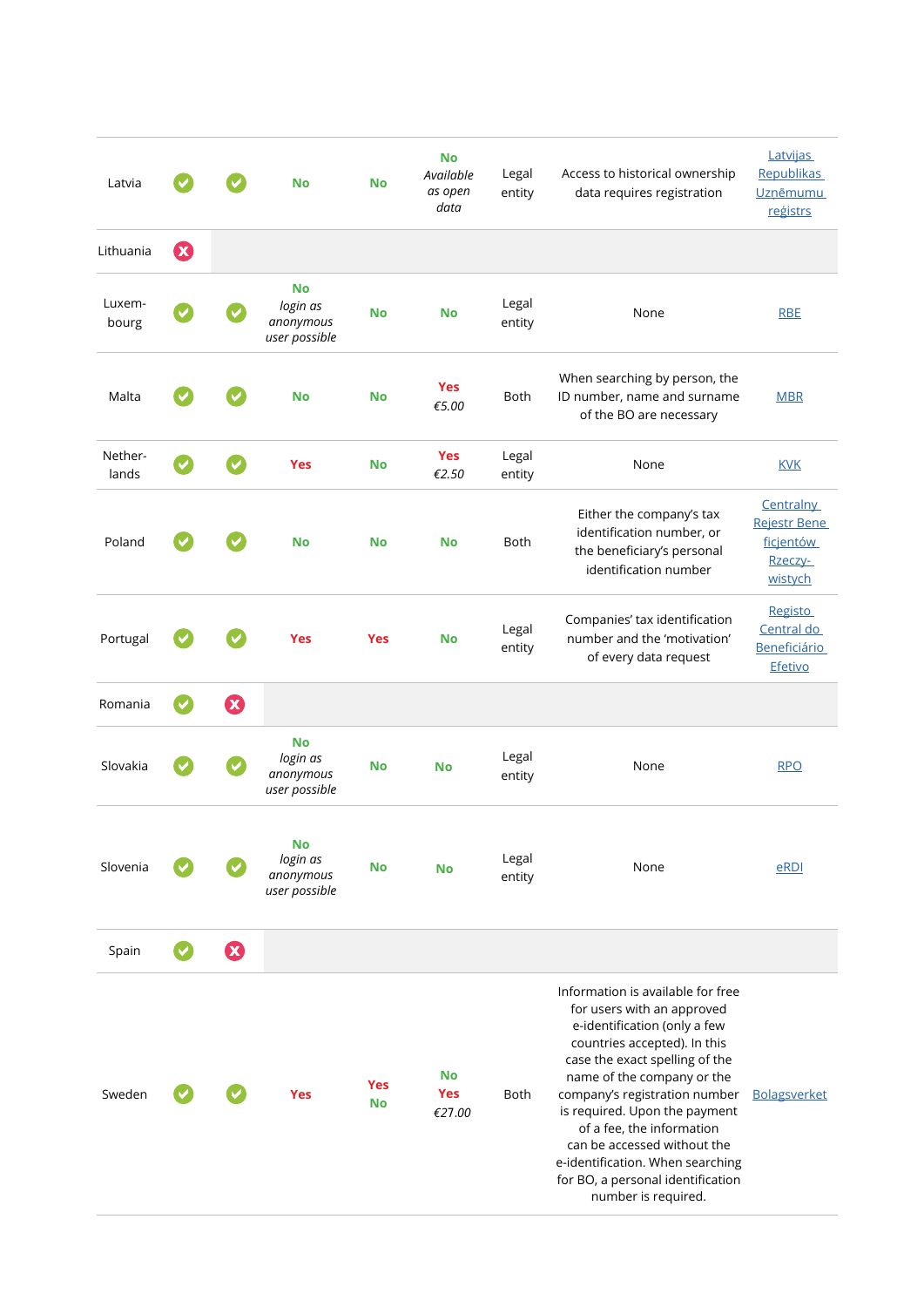| Latvia           |                       |                       | <b>No</b>                                           | <b>No</b>               | <b>No</b><br>Available<br>as open<br>data | Legal<br>entity | Access to historical ownership<br>data requires registration                                                                                                                                                                                                                                                                                                                                                                  | <b>Latvijas</b><br><b>Republikas</b><br><b>Uzņēmumu</b><br>registrs |
|------------------|-----------------------|-----------------------|-----------------------------------------------------|-------------------------|-------------------------------------------|-----------------|-------------------------------------------------------------------------------------------------------------------------------------------------------------------------------------------------------------------------------------------------------------------------------------------------------------------------------------------------------------------------------------------------------------------------------|---------------------------------------------------------------------|
| Lithuania        | $\boldsymbol{\Omega}$ |                       |                                                     |                         |                                           |                 |                                                                                                                                                                                                                                                                                                                                                                                                                               |                                                                     |
| Luxem-<br>bourg  |                       |                       | <b>No</b><br>login as<br>anonymous<br>user possible | <b>No</b>               | <b>No</b>                                 | Legal<br>entity | None                                                                                                                                                                                                                                                                                                                                                                                                                          | <b>RBE</b>                                                          |
| Malta            |                       |                       | <b>No</b>                                           | <b>No</b>               | <b>Yes</b><br>€5.00                       | <b>Both</b>     | When searching by person, the<br>ID number, name and surname<br>of the BO are necessary                                                                                                                                                                                                                                                                                                                                       | <b>MBR</b>                                                          |
| Nether-<br>lands |                       |                       | <b>Yes</b>                                          | <b>No</b>               | <b>Yes</b><br>€2.50                       | Legal<br>entity | None                                                                                                                                                                                                                                                                                                                                                                                                                          | <b>KVK</b>                                                          |
| Poland           |                       |                       | <b>No</b>                                           | <b>No</b>               | <b>No</b>                                 | <b>Both</b>     | Either the company's tax<br>identification number, or<br>the beneficiary's personal<br>identification number                                                                                                                                                                                                                                                                                                                  | Centralny<br>Rejestr Bene<br>ficjentów<br>Rzeczy-<br>wistych        |
| Portugal         |                       |                       | <b>Yes</b>                                          | <b>Yes</b>              | <b>No</b>                                 | Legal<br>entity | Companies' tax identification<br>number and the 'motivation'<br>of every data request                                                                                                                                                                                                                                                                                                                                         | <b>Registo</b><br>Central do<br><b>Beneficiário</b><br>Efetivo      |
| Romania          | $\blacktriangledown$  | $\boldsymbol{\Omega}$ |                                                     |                         |                                           |                 |                                                                                                                                                                                                                                                                                                                                                                                                                               |                                                                     |
| Slovakia         |                       |                       | <b>No</b><br>login as<br>anonymous<br>user possible | <b>No</b>               | <b>No</b>                                 | Legal<br>entity | None                                                                                                                                                                                                                                                                                                                                                                                                                          | <b>RPO</b>                                                          |
| Slovenia         |                       |                       | No<br>login as<br>anonymous<br>user possible        | <b>No</b>               | No                                        | Legal<br>entity | None                                                                                                                                                                                                                                                                                                                                                                                                                          | eRDI                                                                |
| Spain            | $\checkmark$          | $\boldsymbol{\Omega}$ |                                                     |                         |                                           |                 |                                                                                                                                                                                                                                                                                                                                                                                                                               |                                                                     |
| Sweden           |                       |                       | <b>Yes</b>                                          | <b>Yes</b><br><b>No</b> | <b>No</b><br><b>Yes</b><br>€27.00         | Both            | Information is available for free<br>for users with an approved<br>e-identification (only a few<br>countries accepted). In this<br>case the exact spelling of the<br>name of the company or the<br>company's registration number<br>is required. Upon the payment<br>of a fee, the information<br>can be accessed without the<br>e-identification. When searching<br>for BO, a personal identification<br>number is required. | <b>Bolagsverket</b>                                                 |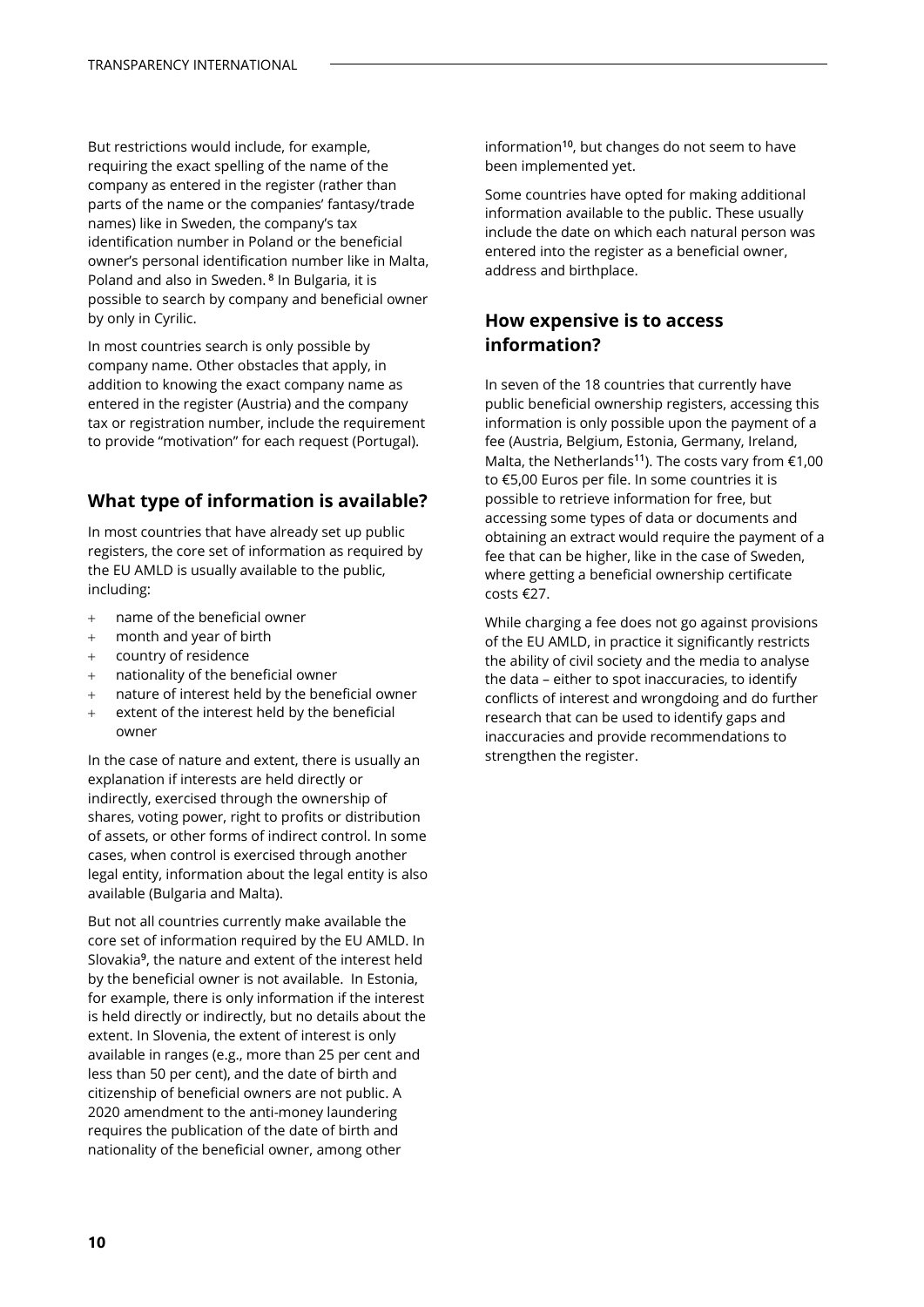But restrictions would include, for example, requiring the exact spelling of the name of the company as entered in the register (rather than parts of the name or the companies' fantasy/trade names) like in Sweden, the company's tax identification number in Poland or the beneficial owner's personal identification number like in Malta, Poland and also in Sweden. **<sup>8</sup>** In Bulgaria, it is possible to search by company and beneficial owner by only in Cyrilic.

In most countries search is only possible by company name. Other obstacles that apply, in addition to knowing the exact company name as entered in the register (Austria) and the company tax or registration number, include the requirement to provide "motivation" for each request (Portugal).

### **What type of information is available?**

In most countries that have already set up public registers, the core set of information as required by the EU AMLD is usually available to the public, including:

- + name of the beneficial owner
- + month and year of birth
- + country of residence
- nationality of the beneficial owner
- + nature of interest held by the beneficial owner
- + extent of the interest held by the beneficial owner

In the case of nature and extent, there is usually an explanation if interests are held directly or indirectly, exercised through the ownership of shares, voting power, right to profits or distribution of assets, or other forms of indirect control. In some cases, when control is exercised through another legal entity, information about the legal entity is also available (Bulgaria and Malta).

But not all countries currently make available the core set of information required by the EU AMLD. In Slovakia**<sup>9</sup>** , the nature and extent of the interest held by the beneficial owner is not available. In Estonia, for example, there is only information if the interest is held directly or indirectly, but no details about the extent. In Slovenia, the extent of interest is only available in ranges (e.g., more than 25 per cent and less than 50 per cent), and the date of birth and citizenship of beneficial owners are not public. A 2020 amendment to the anti-money laundering requires the publication of the date of birth and nationality of the beneficial owner, among other

information**<sup>10</sup>**, but changes do not seem to have been implemented yet.

Some countries have opted for making additional information available to the public. These usually include the date on which each natural person was entered into the register as a beneficial owner, address and birthplace.

### **How expensive is to access information?**

In seven of the 18 countries that currently have public beneficial ownership registers, accessing this information is only possible upon the payment of a fee (Austria, Belgium, Estonia, Germany, Ireland, Malta, the Netherlands**<sup>11</sup>**). The costs vary from €1,00 to €5,00 Euros per file. In some countries it is possible to retrieve information for free, but accessing some types of data or documents and obtaining an extract would require the payment of a fee that can be higher, like in the case of Sweden, where getting a beneficial ownership certificate costs €27.

While charging a fee does not go against provisions of the EU AMLD, in practice it significantly restricts the ability of civil society and the media to analyse the data – either to spot inaccuracies, to identify conflicts of interest and wrongdoing and do further research that can be used to identify gaps and inaccuracies and provide recommendations to strengthen the register.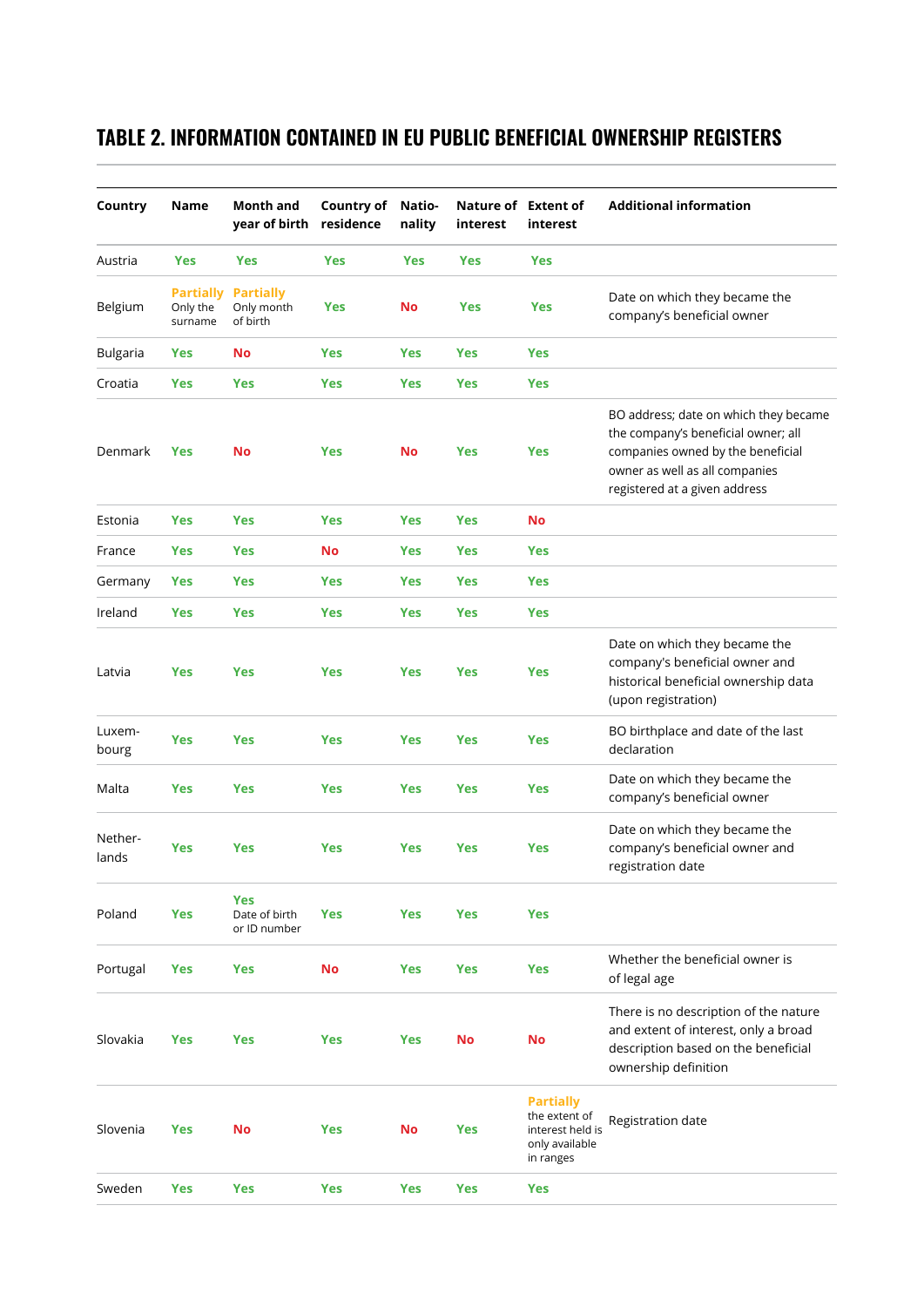### **TABLE 2. INFORMATION CONTAINED IN EU PUBLIC BENEFICIAL OWNERSHIP REGISTERS**

| Country          | Name                                    | <b>Month and</b><br>year of birth           | <b>Country of</b><br>residence | Natio-<br>nality | Nature of Extent of<br>interest | interest                                                                             | <b>Additional information</b>                                                                                                                                                        |
|------------------|-----------------------------------------|---------------------------------------------|--------------------------------|------------------|---------------------------------|--------------------------------------------------------------------------------------|--------------------------------------------------------------------------------------------------------------------------------------------------------------------------------------|
| Austria          | Yes                                     | Yes                                         | <b>Yes</b>                     | <b>Yes</b>       | Yes                             | <b>Yes</b>                                                                           |                                                                                                                                                                                      |
| Belgium          | <b>Partially</b><br>Only the<br>surname | <b>Partially</b><br>Only month<br>of birth  | <b>Yes</b>                     | No               | <b>Yes</b>                      | Yes                                                                                  | Date on which they became the<br>company's beneficial owner                                                                                                                          |
| <b>Bulgaria</b>  | Yes                                     | <b>No</b>                                   | Yes                            | <b>Yes</b>       | <b>Yes</b>                      | <b>Yes</b>                                                                           |                                                                                                                                                                                      |
| Croatia          | Yes                                     | <b>Yes</b>                                  | <b>Yes</b>                     | <b>Yes</b>       | <b>Yes</b>                      | <b>Yes</b>                                                                           |                                                                                                                                                                                      |
| Denmark          | Yes                                     | No                                          | Yes                            | No               | <b>Yes</b>                      | <b>Yes</b>                                                                           | BO address; date on which they became<br>the company's beneficial owner; all<br>companies owned by the beneficial<br>owner as well as all companies<br>registered at a given address |
| Estonia          | <b>Yes</b>                              | Yes                                         | Yes                            | <b>Yes</b>       | <b>Yes</b>                      | No                                                                                   |                                                                                                                                                                                      |
| France           | Yes                                     | Yes                                         | <b>No</b>                      | <b>Yes</b>       | <b>Yes</b>                      | Yes                                                                                  |                                                                                                                                                                                      |
| Germany          | <b>Yes</b>                              | Yes                                         | <b>Yes</b>                     | <b>Yes</b>       | <b>Yes</b>                      | <b>Yes</b>                                                                           |                                                                                                                                                                                      |
| Ireland          | Yes                                     | Yes                                         | <b>Yes</b>                     | <b>Yes</b>       | Yes                             | <b>Yes</b>                                                                           |                                                                                                                                                                                      |
| Latvia           | <b>Yes</b>                              | <b>Yes</b>                                  | Yes                            | <b>Yes</b>       | <b>Yes</b>                      | Yes                                                                                  | Date on which they became the<br>company's beneficial owner and<br>historical beneficial ownership data<br>(upon registration)                                                       |
| Luxem-<br>bourg  | Yes                                     | <b>Yes</b>                                  | <b>Yes</b>                     | <b>Yes</b>       | <b>Yes</b>                      | Yes                                                                                  | BO birthplace and date of the last<br>declaration                                                                                                                                    |
| Malta            | <b>Yes</b>                              | <b>Yes</b>                                  | <b>Yes</b>                     | <b>Yes</b>       | <b>Yes</b>                      | <b>Yes</b>                                                                           | Date on which they became the<br>company's beneficial owner                                                                                                                          |
| Nether-<br>lands | Yes                                     | <b>Yes</b>                                  | <b>Yes</b>                     | <b>Yes</b>       | <b>Yes</b>                      | <b>Yes</b>                                                                           | Date on which they became the<br>company's beneficial owner and<br>registration date                                                                                                 |
| Poland           | Yes                                     | <b>Yes</b><br>Date of birth<br>or ID number | <b>Yes</b>                     | Yes              | <b>Yes</b>                      | <b>Yes</b>                                                                           |                                                                                                                                                                                      |
| Portugal         | <b>Yes</b>                              | <b>Yes</b>                                  | <b>No</b>                      | Yes              | <b>Yes</b>                      | <b>Yes</b>                                                                           | Whether the beneficial owner is<br>of legal age                                                                                                                                      |
| Slovakia         | <b>Yes</b>                              | Yes                                         | <b>Yes</b>                     | <b>Yes</b>       | No                              | No                                                                                   | There is no description of the nature<br>and extent of interest, only a broad<br>description based on the beneficial<br>ownership definition                                         |
| Slovenia         | <b>Yes</b>                              | No                                          | <b>Yes</b>                     | No               | Yes                             | <b>Partially</b><br>the extent of<br>interest held is<br>only available<br>in ranges | Registration date                                                                                                                                                                    |
| Sweden           | Yes                                     | Yes                                         | Yes                            | <b>Yes</b>       | Yes                             | <b>Yes</b>                                                                           |                                                                                                                                                                                      |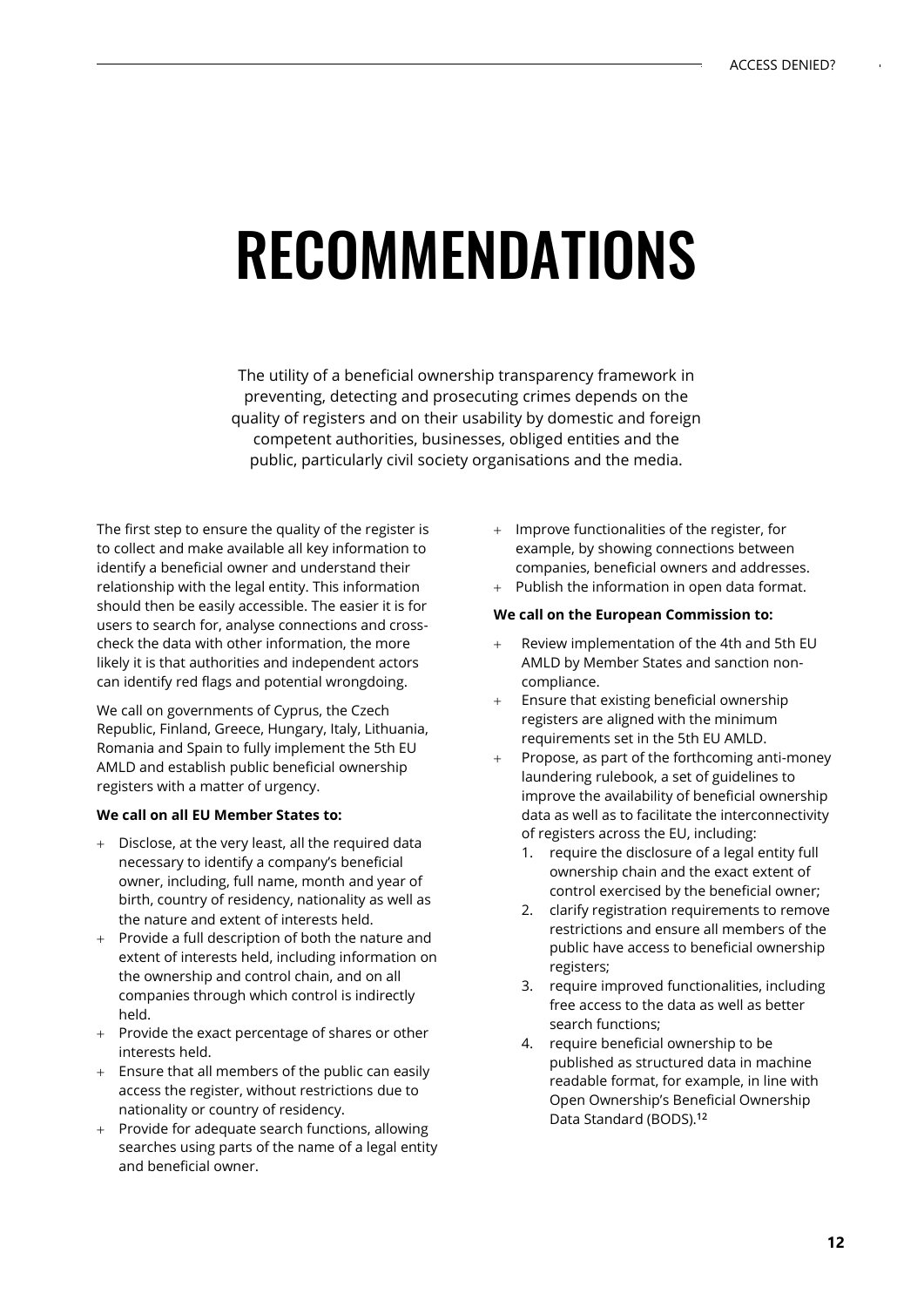# RECOMMENDATIONS

The utility of a beneficial ownership transparency framework in preventing, detecting and prosecuting crimes depends on the quality of registers and on their usability by domestic and foreign competent authorities, businesses, obliged entities and the public, particularly civil society organisations and the media.

The first step to ensure the quality of the register is to collect and make available all key information to identify a beneficial owner and understand their relationship with the legal entity. This information should then be easily accessible. The easier it is for users to search for, analyse connections and crosscheck the data with other information, the more likely it is that authorities and independent actors can identify red flags and potential wrongdoing.

We call on governments of Cyprus, the Czech Republic, Finland, Greece, Hungary, Italy, Lithuania, Romania and Spain to fully implement the 5th EU AMLD and establish public beneficial ownership registers with a matter of urgency.

#### **We call on all EU Member States to:**

- + Disclose, at the very least, all the required data necessary to identify a company's beneficial owner, including, full name, month and year of birth, country of residency, nationality as well as the nature and extent of interests held.
- + Provide a full description of both the nature and extent of interests held, including information on the ownership and control chain, and on all companies through which control is indirectly held.
- + Provide the exact percentage of shares or other interests held.
- Ensure that all members of the public can easily access the register, without restrictions due to nationality or country of residency.
- Provide for adequate search functions, allowing searches using parts of the name of a legal entity and beneficial owner.
- + Improve functionalities of the register, for example, by showing connections between companies, beneficial owners and addresses.
- + Publish the information in open data format.

#### **We call on the European Commission to:**

- Review implementation of the 4th and 5th EU AMLD by Member States and sanction noncompliance.
- Ensure that existing beneficial ownership registers are aligned with the minimum requirements set in the 5th EU AMLD.
- Propose, as part of the forthcoming anti-money laundering rulebook, a set of guidelines to improve the availability of beneficial ownership data as well as to facilitate the interconnectivity of registers across the EU, including:
	- 1. require the disclosure of a legal entity full ownership chain and the exact extent of control exercised by the beneficial owner;
	- 2. clarify registration requirements to remove restrictions and ensure all members of the public have access to beneficial ownership registers;
	- 3. require improved functionalities, including free access to the data as well as better search functions;
	- 4. require beneficial ownership to be published as structured data in machine readable format, for example, in line with Open Ownership's Beneficial Ownership Data Standard (BODS).**<sup>12</sup>**